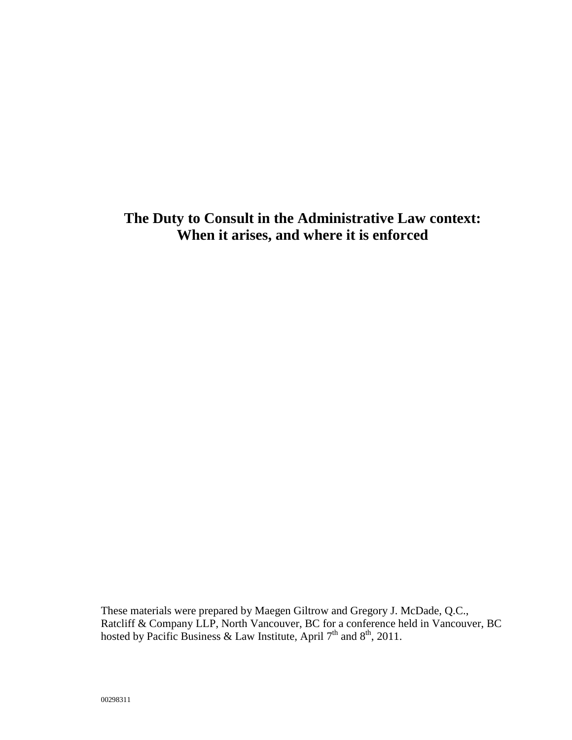# **The Duty to Consult in the Administrative Law context: When it arises, and where it is enforced**

These materials were prepared by Maegen Giltrow and Gregory J. McDade, Q.C., Ratcliff & Company LLP, North Vancouver, BC for a conference held in Vancouver, BC hosted by Pacific Business & Law Institute, April  $7<sup>th</sup>$  and  $8<sup>th</sup>$ , 2011.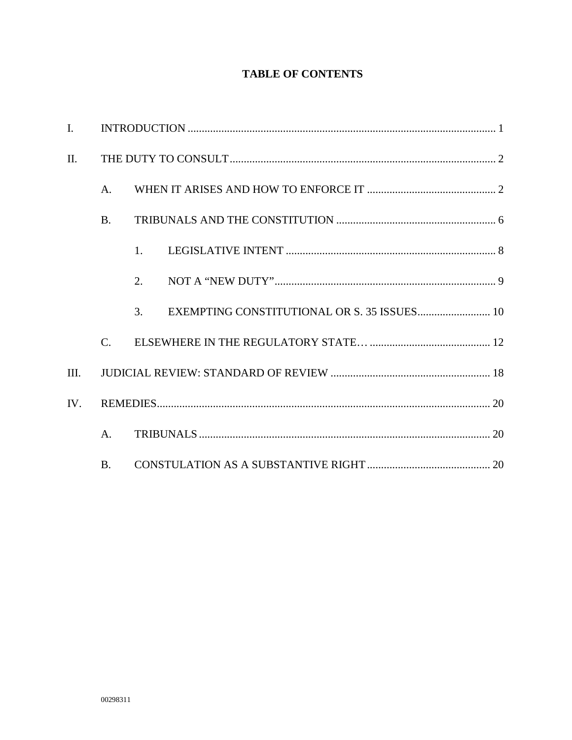# **TABLE OF CONTENTS**

| $\mathbf{I}$ . |                 |         |
|----------------|-----------------|---------|
| II.            |                 |         |
|                | A <sub>1</sub>  |         |
|                | <b>B.</b>       |         |
|                |                 | $1_{-}$ |
|                |                 | 2.      |
|                |                 | 3.      |
|                | $\mathcal{C}$ . |         |
| III.           |                 |         |
| IV.            |                 |         |
|                | $A_{\cdot}$     |         |
|                | <b>B.</b>       |         |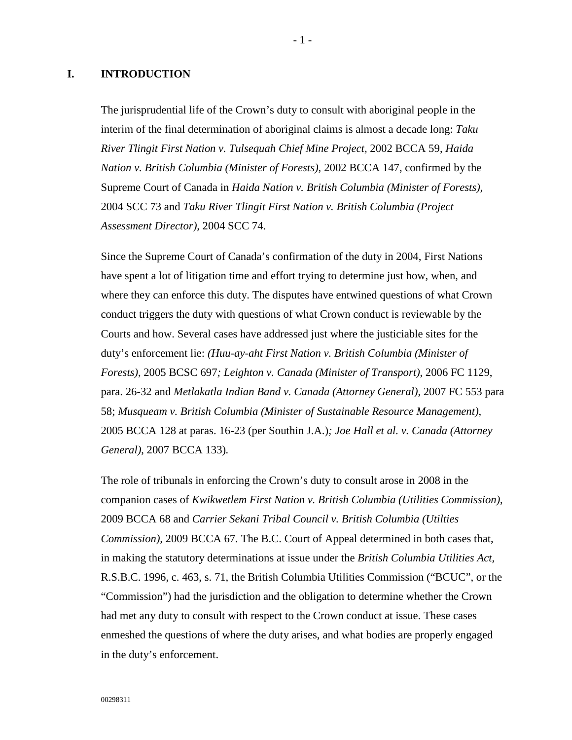# <span id="page-2-0"></span>**I. INTRODUCTION**

The jurisprudential life of the Crown's duty to consult with aboriginal people in the interim of the final determination of aboriginal claims is almost a decade long: *Taku River Tlingit First Nation v. Tulsequah Chief Mine Project,* 2002 BCCA 59, *Haida Nation v. British Columbia (Minister of Forests)*, 2002 BCCA 147, confirmed by the Supreme Court of Canada in *Haida Nation v. British Columbia (Minister of Forests),*  2004 SCC 73 and *Taku River Tlingit First Nation v. British Columbia (Project Assessment Director),* 2004 SCC 74.

Since the Supreme Court of Canada's confirmation of the duty in 2004, First Nations have spent a lot of litigation time and effort trying to determine just how, when, and where they can enforce this duty. The disputes have entwined questions of what Crown conduct triggers the duty with questions of what Crown conduct is reviewable by the Courts and how. Several cases have addressed just where the justiciable sites for the duty's enforcement lie: *(Huu-ay-aht First Nation v. British Columbia (Minister of Forests)*, 2005 BCSC 697*; Leighton v. Canada (Minister of Transport)*, 2006 FC 1129, para. 26-32 and *Metlakatla Indian Band v. Canada (Attorney General)*, 2007 FC 553 para 58; *Musqueam v. British Columbia (Minister of Sustainable Resource Management)*, 2005 BCCA 128 at paras. 16-23 (per Southin J.A.)*; Joe Hall et al. v. Canada (Attorney General)*, 2007 BCCA 133)*.*

The role of tribunals in enforcing the Crown's duty to consult arose in 2008 in the companion cases of *Kwikwetlem First Nation v. British Columbia (Utilities Commission)*, [2009 BCCA 68](http://www.lexisnexis.com/ca/legal/search/runRemoteLink.do?langcountry=CA&linkInfo=F%23CA%23BCCA%23onum%2568%25decisiondate%252009%25year%252009%25sel1%252009%25&risb=21_T11350196012&bct=A&service=citation&A=0.7709589057423746) and *Carrier Sekani Tribal Council v. British Columbia (Utilties Commission),* 2009 BCCA 67*.* The B.C. Court of Appeal determined in both cases that, in making the statutory determinations at issue under the *British Columbia Utilities Act,*  R.S.B.C. 1996, c. 463, s. 71, the British Columbia Utilities Commission ("BCUC", or the "Commission") had the jurisdiction and the obligation to determine whether the Crown had met any duty to consult with respect to the Crown conduct at issue. These cases enmeshed the questions of where the duty arises, and what bodies are properly engaged in the duty's enforcement.

- 1 -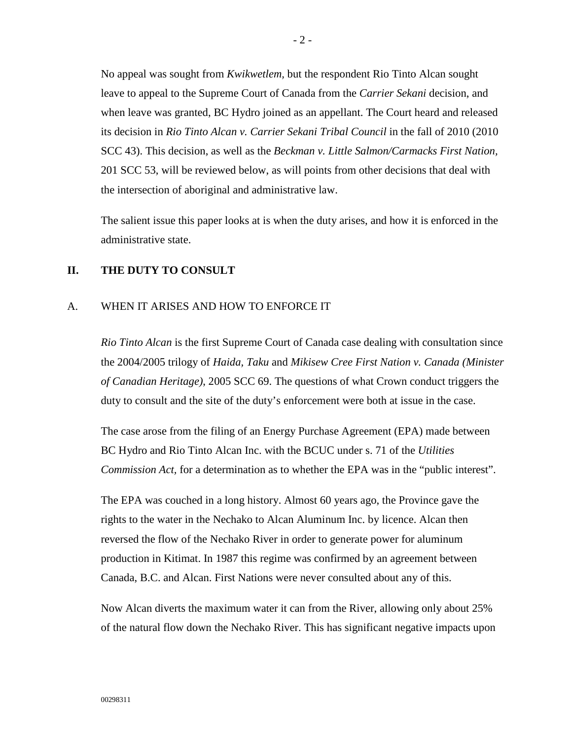No appeal was sought from *Kwikwetlem,* but the respondent Rio Tinto Alcan sought leave to appeal to the Supreme Court of Canada from the *Carrier Sekani* decision, and when leave was granted, BC Hydro joined as an appellant. The Court heard and released its decision in *Rio Tinto Alcan v. Carrier Sekani Tribal Council* in the fall of 2010 (2010 SCC 43). This decision, as well as the *Beckman v. Little Salmon/Carmacks First Nation,*  201 SCC 53, will be reviewed below, as will points from other decisions that deal with the intersection of aboriginal and administrative law.

The salient issue this paper looks at is when the duty arises, and how it is enforced in the administrative state.

#### <span id="page-3-0"></span>**II. THE DUTY TO CONSULT**

#### <span id="page-3-1"></span>A. WHEN IT ARISES AND HOW TO ENFORCE IT

*Rio Tinto Alcan* is the first Supreme Court of Canada case dealing with consultation since the 2004/2005 trilogy of *Haida, Taku* and *Mikisew Cree First Nation v. Canada (Minister of Canadian Heritage)*, 2005 SCC 69. The questions of what Crown conduct triggers the duty to consult and the site of the duty's enforcement were both at issue in the case.

The case arose from the filing of an Energy Purchase Agreement (EPA) made between BC Hydro and Rio Tinto Alcan Inc. with the BCUC under s. 71 of the *Utilities Commission Act,* for a determination as to whether the EPA was in the "public interest".

The EPA was couched in a long history. Almost 60 years ago, the Province gave the rights to the water in the Nechako to Alcan Aluminum Inc. by licence. Alcan then reversed the flow of the Nechako River in order to generate power for aluminum production in Kitimat. In 1987 this regime was confirmed by an agreement between Canada, B.C. and Alcan. First Nations were never consulted about any of this.

Now Alcan diverts the maximum water it can from the River, allowing only about 25% of the natural flow down the Nechako River. This has significant negative impacts upon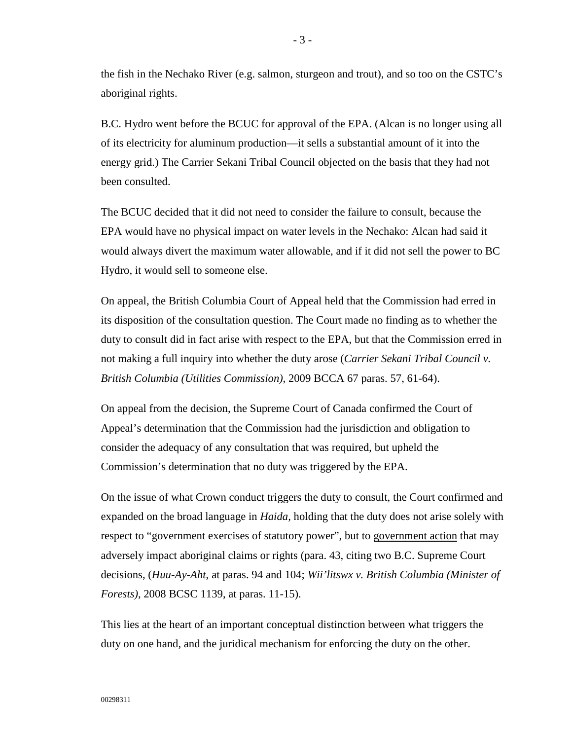the fish in the Nechako River (e.g. salmon, sturgeon and trout), and so too on the CSTC's aboriginal rights.

B.C. Hydro went before the BCUC for approval of the EPA. (Alcan is no longer using all of its electricity for aluminum production—it sells a substantial amount of it into the energy grid.) The Carrier Sekani Tribal Council objected on the basis that they had not been consulted.

The BCUC decided that it did not need to consider the failure to consult, because the EPA would have no physical impact on water levels in the Nechako: Alcan had said it would always divert the maximum water allowable, and if it did not sell the power to BC Hydro, it would sell to someone else.

On appeal, the British Columbia Court of Appeal held that the Commission had erred in its disposition of the consultation question. The Court made no finding as to whether the duty to consult did in fact arise with respect to the EPA, but that the Commission erred in not making a full inquiry into whether the duty arose (*Carrier Sekani Tribal Council v. British Columbia (Utilities Commission)*, 2009 BCCA 67 paras. 57, 61-64).

On appeal from the decision, the Supreme Court of Canada confirmed the Court of Appeal's determination that the Commission had the jurisdiction and obligation to consider the adequacy of any consultation that was required, but upheld the Commission's determination that no duty was triggered by the EPA.

On the issue of what Crown conduct triggers the duty to consult, the Court confirmed and expanded on the broad language in *Haida,* holding that the duty does not arise solely with respect to "government exercises of statutory power", but to government action that may adversely impact aboriginal claims or rights (para. 43, citing two B.C. Supreme Court decisions, (*Huu-Ay-Aht*, at paras. 94 and 104; *Wii'litswx v. British Columbia (Minister of Forests)*, 2008 BCSC 1139, at paras. 11-15).

This lies at the heart of an important conceptual distinction between what triggers the duty on one hand, and the juridical mechanism for enforcing the duty on the other.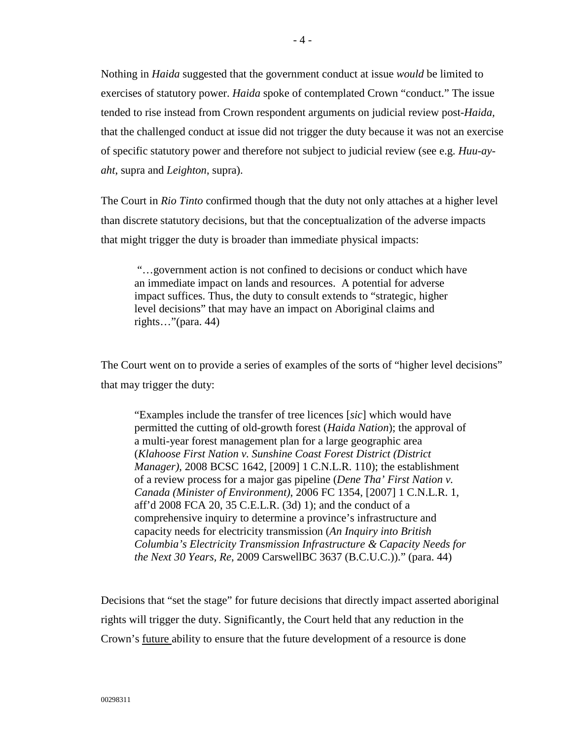Nothing in *Haida* suggested that the government conduct at issue *would* be limited to exercises of statutory power. *Haida* spoke of contemplated Crown "conduct." The issue tended to rise instead from Crown respondent arguments on judicial review post-*Haida,* that the challenged conduct at issue did not trigger the duty because it was not an exercise of specific statutory power and therefore not subject to judicial review (see e.g. *Huu-ayaht*, supra and *Leighton*, supra).

The Court in *Rio Tinto* confirmed though that the duty not only attaches at a higher level than discrete statutory decisions, but that the conceptualization of the adverse impacts that might trigger the duty is broader than immediate physical impacts:

"…government action is not confined to decisions or conduct which have an immediate impact on lands and resources. A potential for adverse impact suffices. Thus, the duty to consult extends to "strategic, higher level decisions" that may have an impact on Aboriginal claims and rights…"(para. 44)

The Court went on to provide a series of examples of the sorts of "higher level decisions" that may trigger the duty:

"Examples include the transfer of tree licences [*sic*] which would have permitted the cutting of old-growth forest (*Haida Nation*); the approval of a multi-year forest management plan for a large geographic area (*Klahoose First Nation v. Sunshine Coast Forest District (District Manager)*, 2008 BCSC 1642, [2009] 1 C.N.L.R. 110); the establishment of a review process for a major gas pipeline (*Dene Tha' First Nation v. Canada (Minister of Environment)*, 2006 FC 1354, [2007] 1 C.N.L.R. 1, aff'd 2008 FCA 20, 35 C.E.L.R. (3d) 1); and the conduct of a comprehensive inquiry to determine a province's infrastructure and capacity needs for electricity transmission (*An Inquiry into British Columbia's Electricity Transmission Infrastructure & Capacity Needs for the Next 30 Years, Re*, 2009 CarswellBC 3637 (B.C.U.C.))." (para. 44)

Decisions that "set the stage" for future decisions that directly impact asserted aboriginal rights will trigger the duty. Significantly, the Court held that any reduction in the Crown's future ability to ensure that the future development of a resource is done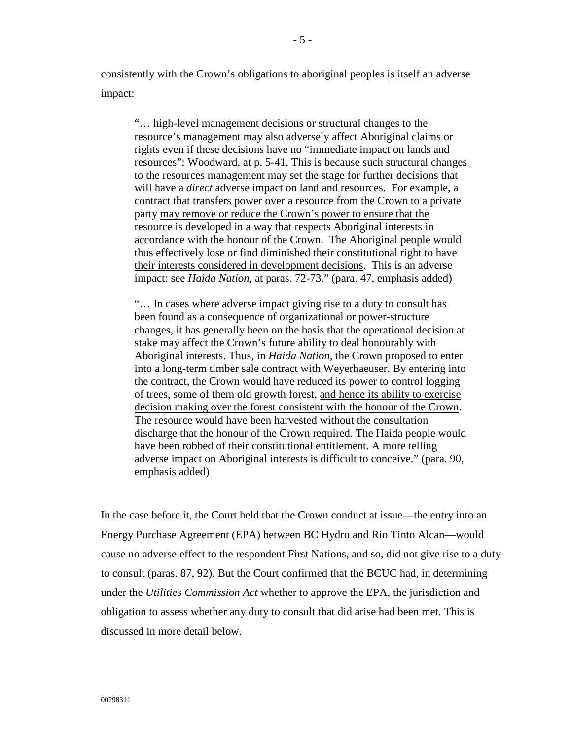consistently with the Crown's obligations to aboriginal peoples is itself an adverse impact:

"… high-level management decisions or structural changes to the resource's management may also adversely affect Aboriginal claims or rights even if these decisions have no "immediate impact on lands and resources": Woodward, at p. 5-41. This is because such structural changes to the resources management may set the stage for further decisions that will have a *direct* adverse impact on land and resources. For example, a contract that transfers power over a resource from the Crown to a private party may remove or reduce the Crown's power to ensure that the resource is developed in a way that respects Aboriginal interests in accordance with the honour of the Crown. The Aboriginal people would thus effectively lose or find diminished their constitutional right to have their interests considered in development decisions. This is an adverse impact: see *Haida Nation*, at paras. 72-73." (para. 47, emphasis added)

"… In cases where adverse impact giving rise to a duty to consult has been found as a consequence of organizational or power-structure changes, it has generally been on the basis that the operational decision at stake may affect the Crown's future ability to deal honourably with Aboriginal interests. Thus, in *Haida Nation*, the Crown proposed to enter into a long-term timber sale contract with Weyerhaeuser. By entering into the contract, the Crown would have reduced its power to control logging of trees, some of them old growth forest, and hence its ability to exercise decision making over the forest consistent with the honour of the Crown. The resource would have been harvested without the consultation discharge that the honour of the Crown required. The Haida people would have been robbed of their constitutional entitlement. A more telling adverse impact on Aboriginal interests is difficult to conceive." (para. 90, emphasis added)

In the case before it, the Court held that the Crown conduct at issue—the entry into an Energy Purchase Agreement (EPA) between BC Hydro and Rio Tinto Alcan—would cause no adverse effect to the respondent First Nations, and so, did not give rise to a duty to consult (paras. 87, 92). But the Court confirmed that the BCUC had, in determining under the *Utilities Commission Act* whether to approve the EPA, the jurisdiction and obligation to assess whether any duty to consult that did arise had been met. This is discussed in more detail below.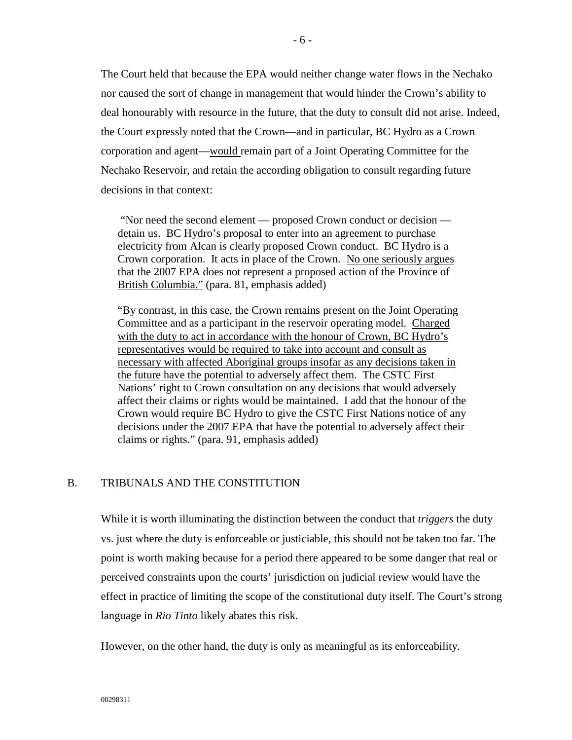The Court held that because the EPA would neither change water flows in the Nechako nor caused the sort of change in management that would hinder the Crown's ability to deal honourably with resource in the future, that the duty to consult did not arise. Indeed, the Court expressly noted that the Crown—and in particular, BC Hydro as a Crown corporation and agent—would remain part of a Joint Operating Committee for the Nechako Reservoir, and retain the according obligation to consult regarding future decisions in that context:

"Nor need the second element — proposed Crown conduct or decision detain us. BC Hydro's proposal to enter into an agreement to purchase electricity from Alcan is clearly proposed Crown conduct. BC Hydro is a Crown corporation. It acts in place of the Crown. No one seriously argues that the 2007 EPA does not represent a proposed action of the Province of British Columbia." (para. 81, emphasis added)

"By contrast, in this case, the Crown remains present on the Joint Operating Committee and as a participant in the reservoir operating model. Charged with the duty to act in accordance with the honour of Crown, BC Hydro's representatives would be required to take into account and consult as necessary with affected Aboriginal groups insofar as any decisions taken in the future have the potential to adversely affect them. The CSTC First Nations' right to Crown consultation on any decisions that would adversely affect their claims or rights would be maintained. I add that the honour of the Crown would require BC Hydro to give the CSTC First Nations notice of any decisions under the 2007 EPA that have the potential to adversely affect their claims or rights." (para. 91, emphasis added)

# <span id="page-7-0"></span>B. TRIBUNALS AND THE CONSTITUTION

While it is worth illuminating the distinction between the conduct that *triggers* the duty vs. just where the duty is enforceable or justiciable, this should not be taken too far. The point is worth making because for a period there appeared to be some danger that real or perceived constraints upon the courts' jurisdiction on judicial review would have the effect in practice of limiting the scope of the constitutional duty itself. The Court's strong language in *Rio Tinto* likely abates this risk.

However, on the other hand, the duty is only as meaningful as its enforceability.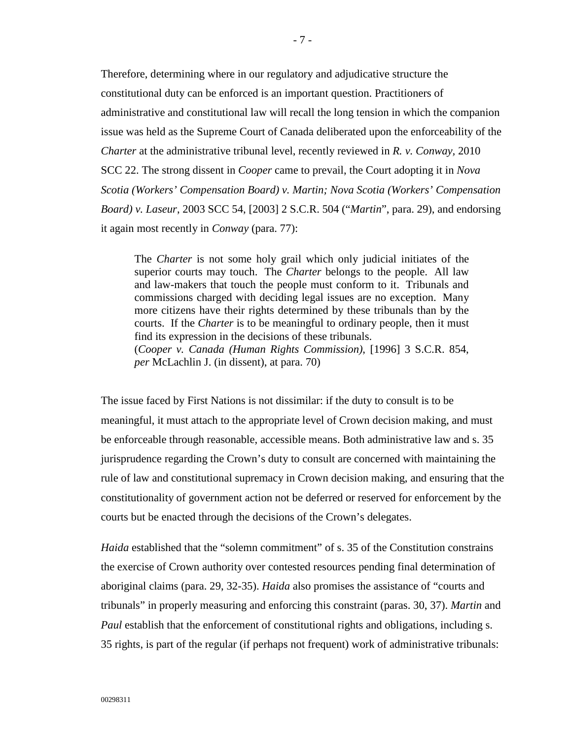Therefore, determining where in our regulatory and adjudicative structure the constitutional duty can be enforced is an important question. Practitioners of administrative and constitutional law will recall the long tension in which the companion issue was held as the Supreme Court of Canada deliberated upon the enforceability of the *Charter* at the administrative tribunal level, recently reviewed in *R. v. Conway,* 2010 SCC 22. The strong dissent in *Cooper* came to prevail, the Court adopting it in *Nova Scotia (Workers' Compensation Board) v. Martin; Nova Scotia (Workers' Compensation Board) v. Laseur*, 2003 SCC 54, [2003] 2 S.C.R. 504 ("*Martin*", para. 29), and endorsing it again most recently in *Conway* (para. 77):

The *Charter* is not some holy grail which only judicial initiates of the superior courts may touch. The *Charter* belongs to the people. All law and law-makers that touch the people must conform to it. Tribunals and commissions charged with deciding legal issues are no exception. Many more citizens have their rights determined by these tribunals than by the courts. If the *Charter* is to be meaningful to ordinary people, then it must find its expression in the decisions of these tribunals. (*Cooper v. Canada (Human Rights Commission)*, [1996] 3 S.C.R. 854, *per* McLachlin J. (in dissent), at para. 70)

The issue faced by First Nations is not dissimilar: if the duty to consult is to be meaningful, it must attach to the appropriate level of Crown decision making, and must be enforceable through reasonable, accessible means. Both administrative law and s. 35 jurisprudence regarding the Crown's duty to consult are concerned with maintaining the rule of law and constitutional supremacy in Crown decision making, and ensuring that the constitutionality of government action not be deferred or reserved for enforcement by the courts but be enacted through the decisions of the Crown's delegates.

*Haida* established that the "solemn commitment" of s. 35 of the Constitution constrains the exercise of Crown authority over contested resources pending final determination of aboriginal claims (para. 29, 32-35). *Haida* also promises the assistance of "courts and tribunals" in properly measuring and enforcing this constraint (paras. 30, 37). *Martin* and *Paul* establish that the enforcement of constitutional rights and obligations, including s. 35 rights, is part of the regular (if perhaps not frequent) work of administrative tribunals: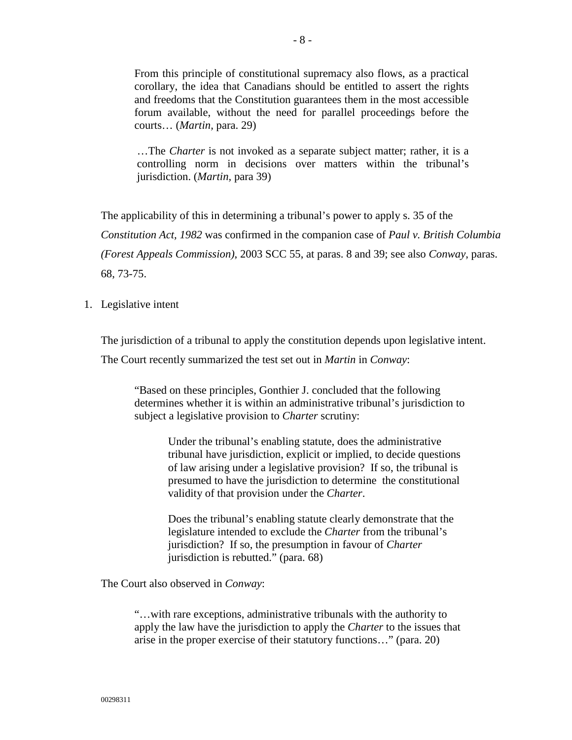From this principle of constitutional supremacy also flows, as a practical corollary, the idea that Canadians should be entitled to assert the rights and freedoms that the Constitution guarantees them in the most accessible forum available, without the need for parallel proceedings before the courts… (*Martin,* para. 29)

…The *Charter* is not invoked as a separate subject matter; rather, it is a controlling norm in decisions over matters within the tribunal's jurisdiction. (*Martin,* para 39)

The applicability of this in determining a tribunal's power to apply s. 35 of the *Constitution Act, 1982* was confirmed in the companion case of *Paul v. British Columbia (Forest Appeals Commission)*, 2003 SCC 55, at paras. 8 and 39; see also *Conway*, paras. 68, 73-75.

<span id="page-9-0"></span>1. Legislative intent

The jurisdiction of a tribunal to apply the constitution depends upon legislative intent.

The Court recently summarized the test set out in *Martin* in *Conway*:

"Based on these principles, Gonthier J. concluded that the following determines whether it is within an administrative tribunal's jurisdiction to subject a legislative provision to *Charter* scrutiny:

> Under the tribunal's enabling statute, does the administrative tribunal have jurisdiction, explicit or implied, to decide questions of law arising under a legislative provision? If so, the tribunal is presumed to have the jurisdiction to determine the constitutional validity of that provision under the *Charter*.

Does the tribunal's enabling statute clearly demonstrate that the legislature intended to exclude the *Charter* from the tribunal's jurisdiction? If so, the presumption in favour of *Charter* jurisdiction is rebutted." (para. 68)

The Court also observed in *Conway*:

"…with rare exceptions, administrative tribunals with the authority to apply the law have the jurisdiction to apply the *Charter* to the issues that arise in the proper exercise of their statutory functions…" (para. 20)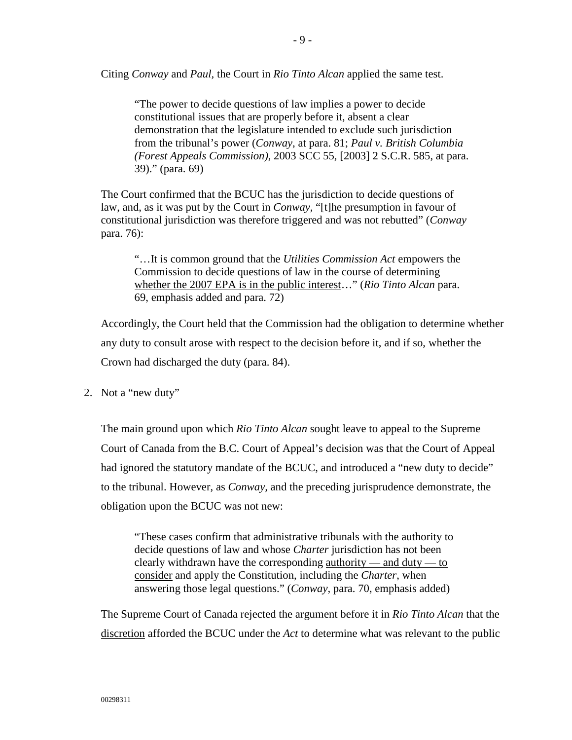Citing *Conway* and *Paul,* the Court in *Rio Tinto Alcan* applied the same test.

"The power to decide questions of law implies a power to decide constitutional issues that are properly before it, absent a clear demonstration that the legislature intended to exclude such jurisdiction from the tribunal's power (*Conway*, at para. 81; *Paul v. British Columbia (Forest Appeals Commission)*, 2003 SCC 55, [2003] 2 S.C.R. 585, at para. 39)." (para. 69)

The Court confirmed that the BCUC has the jurisdiction to decide questions of law, and, as it was put by the Court in *Conway,* "[t]he presumption in favour of constitutional jurisdiction was therefore triggered and was not rebutted" (*Conway* para. 76):

"…It is common ground that the *Utilities Commission Act* empowers the Commission to decide questions of law in the course of determining whether the 2007 EPA is in the public interest…" (*Rio Tinto Alcan* para. 69, emphasis added and para. 72)

Accordingly, the Court held that the Commission had the obligation to determine whether any duty to consult arose with respect to the decision before it, and if so, whether the Crown had discharged the duty (para. 84).

<span id="page-10-0"></span>2. Not a "new duty"

The main ground upon which *Rio Tinto Alcan* sought leave to appeal to the Supreme Court of Canada from the B.C. Court of Appeal's decision was that the Court of Appeal had ignored the statutory mandate of the BCUC, and introduced a "new duty to decide" to the tribunal. However, as *Conway,* and the preceding jurisprudence demonstrate, the obligation upon the BCUC was not new:

"These cases confirm that administrative tribunals with the authority to decide questions of law and whose *Charter* jurisdiction has not been clearly withdrawn have the corresponding  $\frac{ \text{authority}}{ }$  and duty — to consider and apply the Constitution, including the *Charter*, when answering those legal questions." (*Conway,* para. 70, emphasis added)

The Supreme Court of Canada rejected the argument before it in *Rio Tinto Alcan* that the discretion afforded the BCUC under the *Act* to determine what was relevant to the public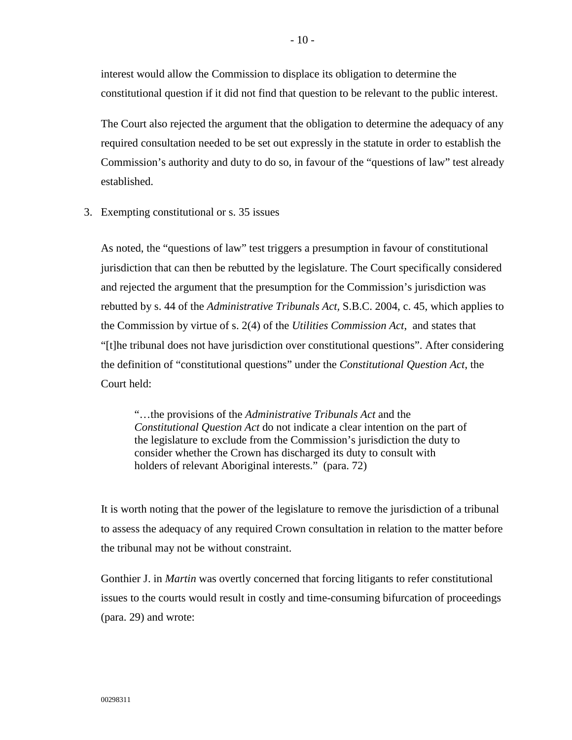interest would allow the Commission to displace its obligation to determine the constitutional question if it did not find that question to be relevant to the public interest.

The Court also rejected the argument that the obligation to determine the adequacy of any required consultation needed to be set out expressly in the statute in order to establish the Commission's authority and duty to do so, in favour of the "questions of law" test already established.

<span id="page-11-0"></span>3. Exempting constitutional or s. 35 issues

As noted, the "questions of law" test triggers a presumption in favour of constitutional jurisdiction that can then be rebutted by the legislature. The Court specifically considered and rejected the argument that the presumption for the Commission's jurisdiction was rebutted by s. 44 of the *Administrative Tribunals Act,* S.B.C. 2004, c. 45, which applies to the Commission by virtue of s. 2(4) of the *Utilities Commission Act*, and states that "[t]he tribunal does not have jurisdiction over constitutional questions". After considering the definition of "constitutional questions" under the *Constitutional Question Act*, the Court held:

"…the provisions of the *Administrative Tribunals Act* and the *Constitutional Question Act* do not indicate a clear intention on the part of the legislature to exclude from the Commission's jurisdiction the duty to consider whether the Crown has discharged its duty to consult with holders of relevant Aboriginal interests." (para. 72)

It is worth noting that the power of the legislature to remove the jurisdiction of a tribunal to assess the adequacy of any required Crown consultation in relation to the matter before the tribunal may not be without constraint.

Gonthier J. in *Martin* was overtly concerned that forcing litigants to refer constitutional issues to the courts would result in costly and time-consuming bifurcation of proceedings (para. 29) and wrote: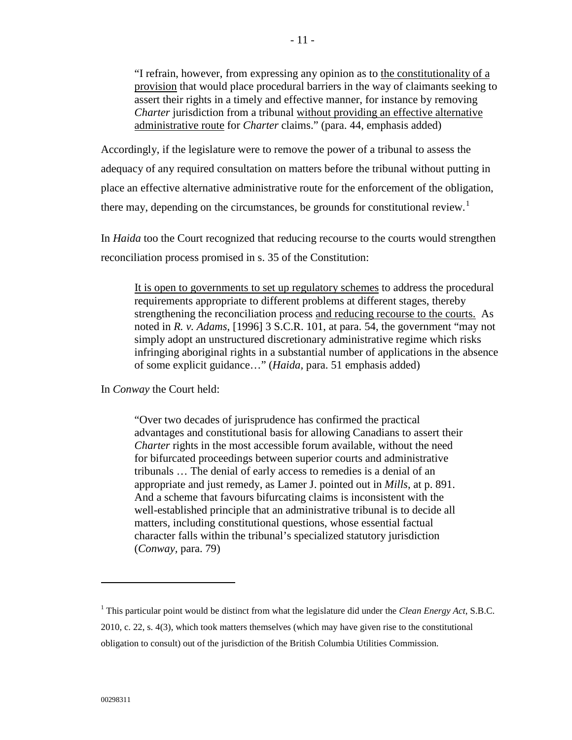"I refrain, however, from expressing any opinion as to the constitutionality of a provision that would place procedural barriers in the way of claimants seeking to assert their rights in a timely and effective manner, for instance by removing *Charter* jurisdiction from a tribunal without providing an effective alternative administrative route for *Charter* claims." (para. 44, emphasis added)

Accordingly, if the legislature were to remove the power of a tribunal to assess the adequacy of any required consultation on matters before the tribunal without putting in place an effective alternative administrative route for the enforcement of the obligation, there may, depending on the circumstances, be grounds for constitutional review.<sup>[1](#page-12-0)</sup>

In *Haida* too the Court recognized that reducing recourse to the courts would strengthen reconciliation process promised in s. 35 of the Constitution:

It is open to governments to set up regulatory schemes to address the procedural requirements appropriate to different problems at different stages, thereby strengthening the reconciliation process and reducing recourse to the courts. As noted in *R. v. Adams*, [1996] 3 S.C.R. 101, at para. 54, the government "may not simply adopt an unstructured discretionary administrative regime which risks infringing aboriginal rights in a substantial number of applications in the absence of some explicit guidance…" (*Haida,* para. 51 emphasis added)

In *Conway* the Court held:

"Over two decades of jurisprudence has confirmed the practical advantages and constitutional basis for allowing Canadians to assert their *Charter* rights in the most accessible forum available, without the need for bifurcated proceedings between superior courts and administrative tribunals … The denial of early access to remedies is a denial of an appropriate and just remedy, as Lamer J. pointed out in *Mills*, at p. 891. And a scheme that favours bifurcating claims is inconsistent with the well-established principle that an administrative tribunal is to decide all matters, including constitutional questions, whose essential factual character falls within the tribunal's specialized statutory jurisdiction (*Conway,* para. 79)

 $\overline{a}$ 

<span id="page-12-0"></span><sup>1</sup> This particular point would be distinct from what the legislature did under the *Clean Energy Act*, S.B.C. 2010, c. 22, s. 4(3), which took matters themselves (which may have given rise to the constitutional obligation to consult) out of the jurisdiction of the British Columbia Utilities Commission.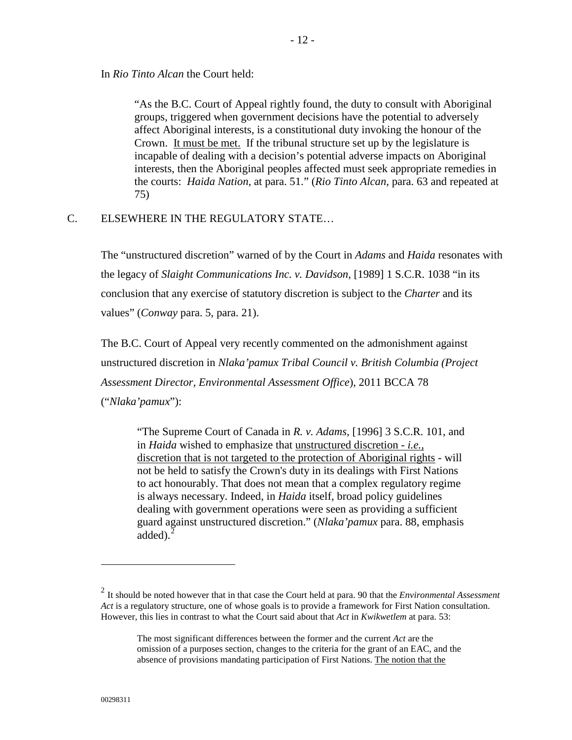In *Rio Tinto Alcan* the Court held:

"As the B.C. Court of Appeal rightly found, the duty to consult with Aboriginal groups, triggered when government decisions have the potential to adversely affect Aboriginal interests, is a constitutional duty invoking the honour of the Crown. It must be met. If the tribunal structure set up by the legislature is incapable of dealing with a decision's potential adverse impacts on Aboriginal interests, then the Aboriginal peoples affected must seek appropriate remedies in the courts: *Haida Nation*, at para. 51." (*Rio Tinto Alcan*, para. 63 and repeated at 75)

#### <span id="page-13-0"></span>C. ELSEWHERE IN THE REGULATORY STATE…

The "unstructured discretion" warned of by the Court in *Adams* and *Haida* resonates with the legacy of *Slaight Communications Inc. v. Davidson*, [1989] 1 S.C.R. 1038 "in its conclusion that any exercise of statutory discretion is subject to the *Charter* and its values" (*Conway* para. 5, para. 21).

The B.C. Court of Appeal very recently commented on the admonishment against unstructured discretion in *Nlaka'pamux Tribal Council v. British Columbia (Project Assessment Director, Environmental Assessment Office*), 2011 BCCA 78 ("*Nlaka'pamux*"):

"The Supreme Court of Canada in *R. v. Adams,* [\[1996\] 3 S.C.R. 101,](http://www.lexisnexis.com/ca/legal/search/runRemoteLink.do?langcountry=CA&linkInfo=F%23CA%23SCR%23sel2%253%25year%251996%25page%25101%25sel1%251996%25vol%253%25&risb=21_T11350196012&bct=A&service=citation&A=0.0781984417756113) and in *Haida* wished to emphasize that unstructured discretion - *i.e.,* discretion that is not targeted to the protection of Aboriginal rights - will not be held to satisfy the Crown's duty in its dealings with First Nations to act honourably. That does not mean that a complex regulatory regime is always necessary. Indeed, in *Haida* itself, broad policy guidelines dealing with government operations were seen as providing a sufficient guard against unstructured discretion." (*Nlaka'pamux* para. 88, emphasis added). $<sup>2</sup>$  $<sup>2</sup>$  $<sup>2</sup>$ </sup>

 $\overline{a}$ 

<span id="page-13-1"></span><sup>2</sup> It should be noted however that in that case the Court held at para. 90 that the *Environmental Assessment Act* is a regulatory structure, one of whose goals is to provide a framework for First Nation consultation. However, this lies in contrast to what the Court said about that *Act* in *Kwikwetlem* at para. 53:

The most significant differences between the former and the current *Act* are the omission of a purposes section, changes to the criteria for the grant of an EAC, and the absence of provisions mandating participation of First Nations. The notion that the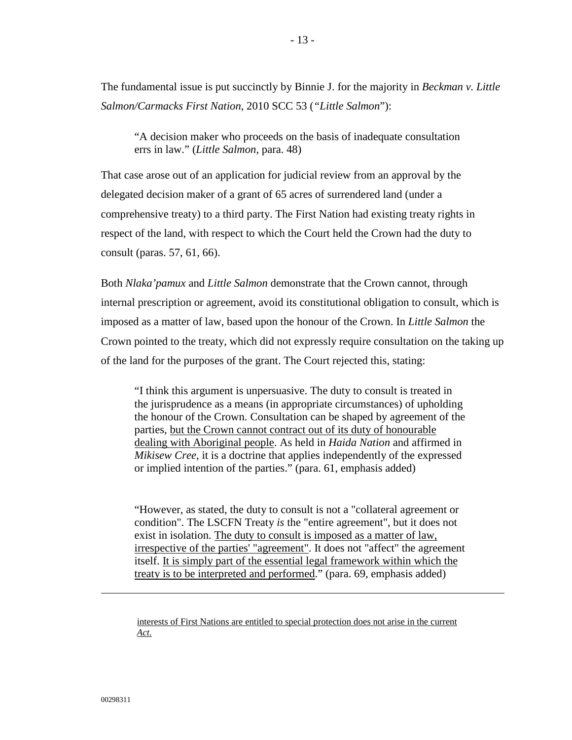The fundamental issue is put succinctly by Binnie J. for the majority in *Beckman v. Little Salmon/Carmacks First Nation,* 2010 SCC 53 (*"Little Salmon*"):

"A decision maker who proceeds on the basis of inadequate consultation errs in law." (*Little Salmon*, para. 48)

That case arose out of an application for judicial review from an approval by the delegated decision maker of a grant of 65 acres of surrendered land (under a comprehensive treaty) to a third party. The First Nation had existing treaty rights in respect of the land, with respect to which the Court held the Crown had the duty to consult (paras. 57, 61, 66).

Both *Nlaka'pamux* and *Little Salmon* demonstrate that the Crown cannot, through internal prescription or agreement, avoid its constitutional obligation to consult, which is imposed as a matter of law, based upon the honour of the Crown. In *Little Salmon* the Crown pointed to the treaty, which did not expressly require consultation on the taking up of the land for the purposes of the grant. The Court rejected this, stating:

"I think this argument is unpersuasive. The duty to consult is treated in the jurisprudence as a means (in appropriate circumstances) of upholding the honour of the Crown. Consultation can be shaped by agreement of the parties, but the Crown cannot contract out of its duty of honourable dealing with Aboriginal people. As held in *Haida Nation* and affirmed in *Mikisew Cree*, it is a doctrine that applies independently of the expressed or implied intention of the parties." (para. 61, emphasis added)

"However, as stated, the duty to consult is not a "collateral agreement or condition". The LSCFN Treaty *is* the "entire agreement", but it does not exist in isolation. The duty to consult is imposed as a matter of law, irrespective of the parties' "agreement". It does not "affect" the agreement itself. It is simply part of the essential legal framework within which the treaty is to be interpreted and performed." (para. 69, emphasis added)

interests of First Nations are entitled to special protection does not arise in the current *Act*.

 $\overline{a}$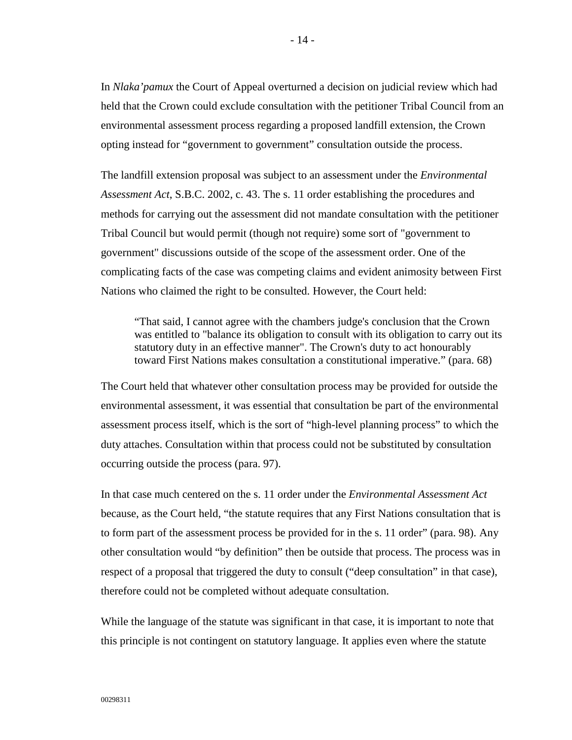In *Nlaka'pamux* the Court of Appeal overturned a decision on judicial review which had held that the Crown could exclude consultation with the petitioner Tribal Council from an environmental assessment process regarding a proposed landfill extension, the Crown opting instead for "government to government" consultation outside the process.

The landfill extension proposal was subject to an assessment under the *Environmental Assessment Act*, S.B.C. 2002, c. 43. The s. 11 order establishing the procedures and methods for carrying out the assessment did not mandate consultation with the petitioner Tribal Council but would permit (though not require) some sort of "government to government" discussions outside of the scope of the assessment order. One of the complicating facts of the case was competing claims and evident animosity between First Nations who claimed the right to be consulted. However, the Court held:

"That said, I cannot agree with the chambers judge's conclusion that the Crown was entitled to "balance its obligation to consult with its obligation to carry out its statutory duty in an effective manner". The Crown's duty to act honourably toward First Nations makes consultation a constitutional imperative." (para. 68)

The Court held that whatever other consultation process may be provided for outside the environmental assessment, it was essential that consultation be part of the environmental assessment process itself, which is the sort of "high-level planning process" to which the duty attaches. Consultation within that process could not be substituted by consultation occurring outside the process (para. 97).

In that case much centered on the s. 11 order under the *Environmental Assessment Act* because, as the Court held, "the statute requires that any First Nations consultation that is to form part of the assessment process be provided for in the s. 11 order" (para. 98). Any other consultation would "by definition" then be outside that process. The process was in respect of a proposal that triggered the duty to consult ("deep consultation" in that case), therefore could not be completed without adequate consultation.

While the language of the statute was significant in that case, it is important to note that this principle is not contingent on statutory language. It applies even where the statute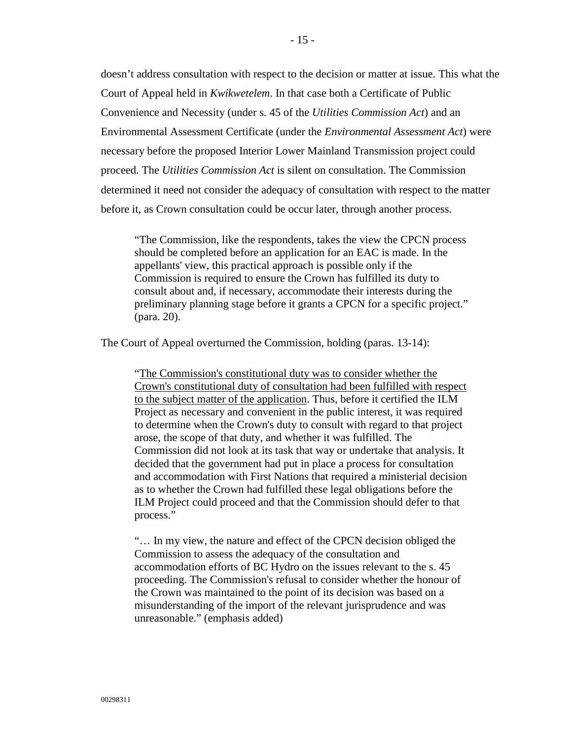doesn't address consultation with respect to the decision or matter at issue. This what the Court of Appeal held in *Kwikwetelem*. In that case both a Certificate of Public Convenience and Necessity (under s. 45 of the *Utilities Commission Act*) and an Environmental Assessment Certificate (under the *Environmental Assessment Act*) were necessary before the proposed Interior Lower Mainland Transmission project could proceed. The *Utilities Commission Act* is silent on consultation. The Commission determined it need not consider the adequacy of consultation with respect to the matter before it, as Crown consultation could be occur later, through another process.

"The Commission, like the respondents, takes the view the CPCN process should be completed before an application for an EAC is made. In the appellants' view, this practical approach is possible only if the Commission is required to ensure the Crown has fulfilled its duty to consult about and, if necessary, accommodate their interests during the preliminary planning stage before it grants a CPCN for a specific project." (para. 20).

The Court of Appeal overturned the Commission, holding (paras. 13-14):

"The Commission's constitutional duty was to consider whether the Crown's constitutional duty of consultation had been fulfilled with respect to the subject matter of the application. Thus, before it certified the ILM Project as necessary and convenient in the public interest, it was required to determine when the Crown's duty to consult with regard to that project arose, the scope of that duty, and whether it was fulfilled. The Commission did not look at its task that way or undertake that analysis. It decided that the government had put in place a process for consultation and accommodation with First Nations that required a ministerial decision as to whether the Crown had fulfilled these legal obligations before the ILM Project could proceed and that the Commission should defer to that process."

"… In my view, the nature and effect of the CPCN decision obliged the Commission to assess the adequacy of the consultation and accommodation efforts of BC Hydro on the issues relevant to the s. 45 proceeding. The Commission's refusal to consider whether the honour of the Crown was maintained to the point of its decision was based on a misunderstanding of the import of the relevant jurisprudence and was unreasonable." (emphasis added)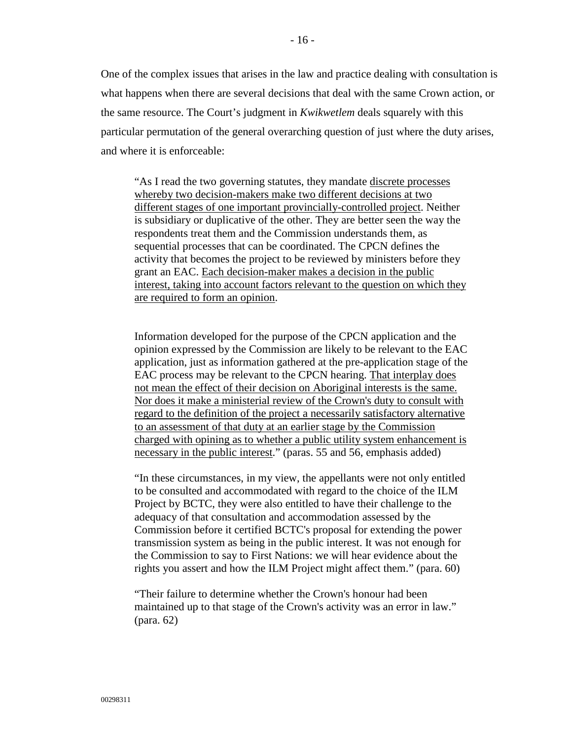One of the complex issues that arises in the law and practice dealing with consultation is what happens when there are several decisions that deal with the same Crown action, or the same resource. The Court's judgment in *Kwikwetlem* deals squarely with this particular permutation of the general overarching question of just where the duty arises, and where it is enforceable:

"As I read the two governing statutes, they mandate discrete processes whereby two decision-makers make two different decisions at two different stages of one important provincially-controlled project. Neither is subsidiary or duplicative of the other. They are better seen the way the respondents treat them and the Commission understands them, as sequential processes that can be coordinated. The CPCN defines the activity that becomes the project to be reviewed by ministers before they grant an EAC. Each decision-maker makes a decision in the public interest, taking into account factors relevant to the question on which they are required to form an opinion.

Information developed for the purpose of the CPCN application and the opinion expressed by the Commission are likely to be relevant to the EAC application, just as information gathered at the pre-application stage of the EAC process may be relevant to the CPCN hearing. That interplay does not mean the effect of their decision on Aboriginal interests is the same. Nor does it make a ministerial review of the Crown's duty to consult with regard to the definition of the project a necessarily satisfactory alternative to an assessment of that duty at an earlier stage by the Commission charged with opining as to whether a public utility system enhancement is necessary in the public interest." (paras. 55 and 56, emphasis added)

"In these circumstances, in my view, the appellants were not only entitled to be consulted and accommodated with regard to the choice of the ILM Project by BCTC, they were also entitled to have their challenge to the adequacy of that consultation and accommodation assessed by the Commission before it certified BCTC's proposal for extending the power transmission system as being in the public interest. It was not enough for the Commission to say to First Nations: we will hear evidence about the rights you assert and how the ILM Project might affect them." (para. 60)

"Their failure to determine whether the Crown's honour had been maintained up to that stage of the Crown's activity was an error in law." (para. 62)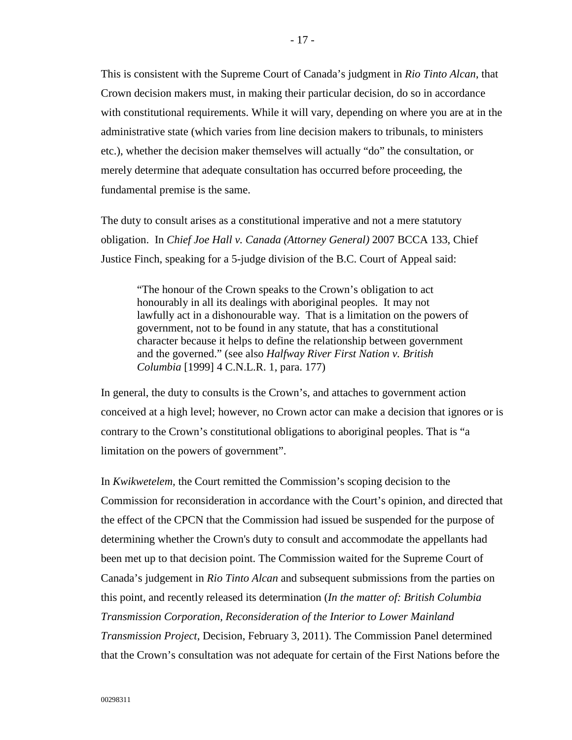This is consistent with the Supreme Court of Canada's judgment in *Rio Tinto Alcan*, that Crown decision makers must, in making their particular decision, do so in accordance with constitutional requirements. While it will vary, depending on where you are at in the administrative state (which varies from line decision makers to tribunals, to ministers etc.), whether the decision maker themselves will actually "do" the consultation, or merely determine that adequate consultation has occurred before proceeding, the fundamental premise is the same.

The duty to consult arises as a constitutional imperative and not a mere statutory obligation. In *Chief Joe Hall v. Canada (Attorney General)* 2007 BCCA 133, Chief Justice Finch, speaking for a 5-judge division of the B.C. Court of Appeal said:

"The honour of the Crown speaks to the Crown's obligation to act honourably in all its dealings with aboriginal peoples. It may not lawfully act in a dishonourable way. That is a limitation on the powers of government, not to be found in any statute, that has a constitutional character because it helps to define the relationship between government and the governed." (see also *Halfway River First Nation v. British Columbia* [1999] 4 C.N.L.R. 1, para. 177)

In general, the duty to consults is the Crown's, and attaches to government action conceived at a high level; however, no Crown actor can make a decision that ignores or is contrary to the Crown's constitutional obligations to aboriginal peoples. That is "a limitation on the powers of government".

In *Kwikwetelem,* the Court remitted the Commission's scoping decision to the Commission for reconsideration in accordance with the Court's opinion, and directed that the effect of the CPCN that the Commission had issued be suspended for the purpose of determining whether the Crown's duty to consult and accommodate the appellants had been met up to that decision point. The Commission waited for the Supreme Court of Canada's judgement in *Rio Tinto Alcan* and subsequent submissions from the parties on this point, and recently released its determination (*In the matter of: British Columbia Transmission Corporation, Reconsideration of the Interior to Lower Mainland Transmission Project*, Decision, February 3, 2011). The Commission Panel determined that the Crown's consultation was not adequate for certain of the First Nations before the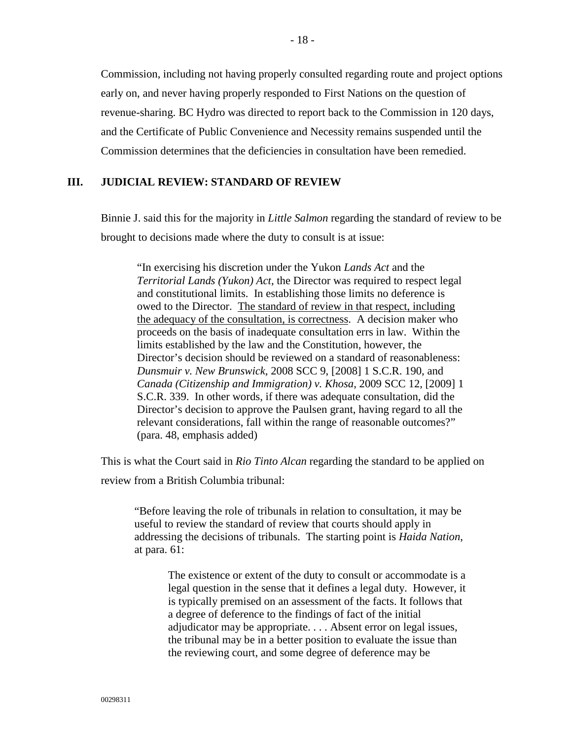Commission, including not having properly consulted regarding route and project options early on, and never having properly responded to First Nations on the question of revenue-sharing. BC Hydro was directed to report back to the Commission in 120 days, and the Certificate of Public Convenience and Necessity remains suspended until the Commission determines that the deficiencies in consultation have been remedied.

# <span id="page-19-0"></span>**III. JUDICIAL REVIEW: STANDARD OF REVIEW**

Binnie J. said this for the majority in *Little Salmon* regarding the standard of review to be brought to decisions made where the duty to consult is at issue:

"In exercising his discretion under the Yukon *Lands Act* and the *Territorial Lands (Yukon) Act*, the Director was required to respect legal and constitutional limits. In establishing those limits no deference is owed to the Director. The standard of review in that respect, including the adequacy of the consultation, is correctness. A decision maker who proceeds on the basis of inadequate consultation errs in law. Within the limits established by the law and the Constitution, however, the Director's decision should be reviewed on a standard of reasonableness: *Dunsmuir v. New Brunswick*, 2008 SCC 9, [2008] 1 S.C.R. 190, and *Canada (Citizenship and Immigration) v. Khosa*, 2009 SCC 12, [2009] 1 S.C.R. 339. In other words, if there was adequate consultation, did the Director's decision to approve the Paulsen grant, having regard to all the relevant considerations, fall within the range of reasonable outcomes?" (para. 48, emphasis added)

This is what the Court said in *Rio Tinto Alcan* regarding the standard to be applied on review from a British Columbia tribunal:

"Before leaving the role of tribunals in relation to consultation, it may be useful to review the standard of review that courts should apply in addressing the decisions of tribunals. The starting point is *Haida Nation*, at para. 61:

> The existence or extent of the duty to consult or accommodate is a legal question in the sense that it defines a legal duty. However, it is typically premised on an assessment of the facts. It follows that a degree of deference to the findings of fact of the initial adjudicator may be appropriate. . . . Absent error on legal issues, the tribunal may be in a better position to evaluate the issue than the reviewing court, and some degree of deference may be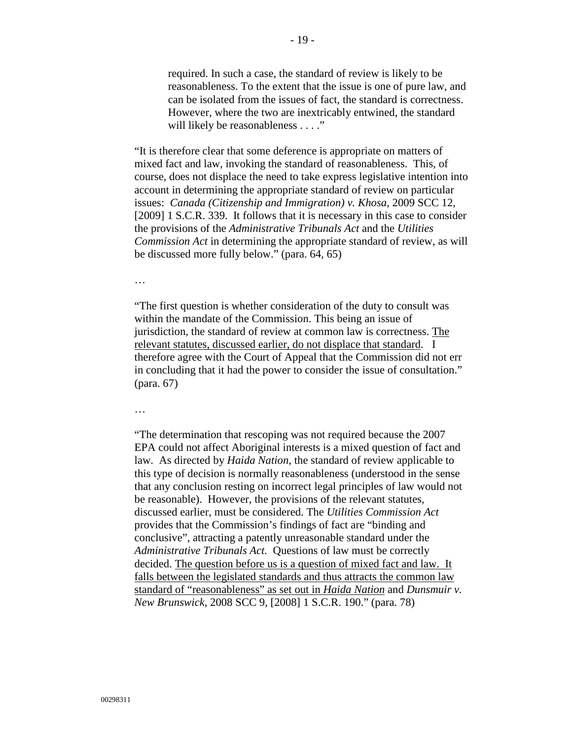required. In such a case, the standard of review is likely to be reasonableness. To the extent that the issue is one of pure law, and can be isolated from the issues of fact, the standard is correctness. However, where the two are inextricably entwined, the standard will likely be reasonableness . . . ."

"It is therefore clear that some deference is appropriate on matters of mixed fact and law, invoking the standard of reasonableness. This, of course, does not displace the need to take express legislative intention into account in determining the appropriate standard of review on particular issues: *Canada (Citizenship and Immigration) v. Khosa*, 2009 SCC 12, [2009] 1 S.C.R. 339. It follows that it is necessary in this case to consider the provisions of the *Administrative Tribunals Act* and the *Utilities Commission Act* in determining the appropriate standard of review, as will be discussed more fully below." (para. 64, 65)

…

"The first question is whether consideration of the duty to consult was within the mandate of the Commission. This being an issue of jurisdiction, the standard of review at common law is correctness. The relevant statutes, discussed earlier, do not displace that standard. I therefore agree with the Court of Appeal that the Commission did not err in concluding that it had the power to consider the issue of consultation." (para. 67)

…

"The determination that rescoping was not required because the 2007 EPA could not affect Aboriginal interests is a mixed question of fact and law. As directed by *Haida Nation*, the standard of review applicable to this type of decision is normally reasonableness (understood in the sense that any conclusion resting on incorrect legal principles of law would not be reasonable). However, the provisions of the relevant statutes, discussed earlier, must be considered. The *Utilities Commission Act* provides that the Commission's findings of fact are "binding and conclusive", attracting a patently unreasonable standard under the *Administrative Tribunals Act.* Questions of law must be correctly decided. The question before us is a question of mixed fact and law. It falls between the legislated standards and thus attracts the common law standard of "reasonableness" as set out in *Haida Nation* and *Dunsmuir v. New Brunswick*, 2008 SCC 9, [2008] 1 S.C.R. 190." (para. 78)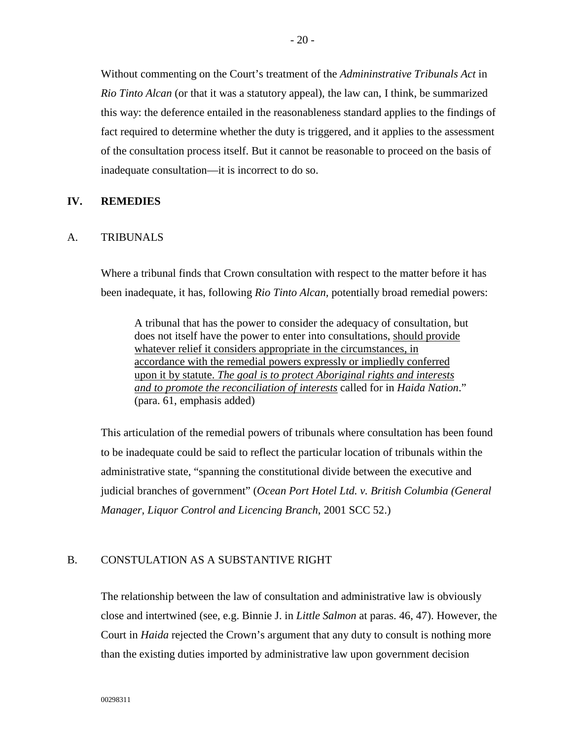Without commenting on the Court's treatment of the *Admininstrative Tribunals Act* in *Rio Tinto Alcan* (or that it was a statutory appeal), the law can, I think, be summarized this way: the deference entailed in the reasonableness standard applies to the findings of fact required to determine whether the duty is triggered, and it applies to the assessment of the consultation process itself. But it cannot be reasonable to proceed on the basis of inadequate consultation—it is incorrect to do so.

### <span id="page-21-0"></span>**IV. REMEDIES**

#### <span id="page-21-1"></span>A. TRIBUNALS

Where a tribunal finds that Crown consultation with respect to the matter before it has been inadequate, it has, following *Rio Tinto Alcan,* potentially broad remedial powers:

A tribunal that has the power to consider the adequacy of consultation, but does not itself have the power to enter into consultations, should provide whatever relief it considers appropriate in the circumstances, in accordance with the remedial powers expressly or impliedly conferred upon it by statute. *The goal is to protect Aboriginal rights and interests and to promote the reconciliation of interests* called for in *Haida Nation*." (para. 61, emphasis added)

This articulation of the remedial powers of tribunals where consultation has been found to be inadequate could be said to reflect the particular location of tribunals within the administrative state, "spanning the constitutional divide between the executive and judicial branches of government" (*Ocean Port Hotel Ltd. v. British Columbia (General Manager, Liquor Control and Licencing Branch*, 2001 SCC 52.)

#### <span id="page-21-2"></span>B. CONSTULATION AS A SUBSTANTIVE RIGHT

The relationship between the law of consultation and administrative law is obviously close and intertwined (see, e.g. Binnie J. in *Little Salmon* at paras. 46, 47). However, the Court in *Haida* rejected the Crown's argument that any duty to consult is nothing more than the existing duties imported by administrative law upon government decision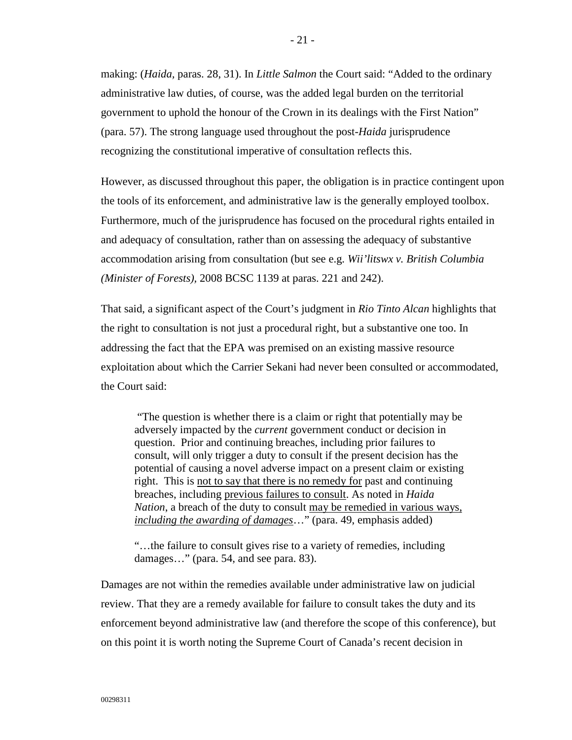making: (*Haida,* paras. 28, 31). In *Little Salmon* the Court said: "Added to the ordinary administrative law duties, of course, was the added legal burden on the territorial government to uphold the honour of the Crown in its dealings with the First Nation" (para. 57). The strong language used throughout the post-*Haida* jurisprudence recognizing the constitutional imperative of consultation reflects this.

However, as discussed throughout this paper, the obligation is in practice contingent upon the tools of its enforcement, and administrative law is the generally employed toolbox. Furthermore, much of the jurisprudence has focused on the procedural rights entailed in and adequacy of consultation, rather than on assessing the adequacy of substantive accommodation arising from consultation (but see e.g. *Wii'litswx v. British Columbia (Minister of Forests),* 2008 BCSC 1139 at paras. 221 and 242).

That said, a significant aspect of the Court's judgment in *Rio Tinto Alcan* highlights that the right to consultation is not just a procedural right, but a substantive one too. In addressing the fact that the EPA was premised on an existing massive resource exploitation about which the Carrier Sekani had never been consulted or accommodated, the Court said:

"The question is whether there is a claim or right that potentially may be adversely impacted by the *current* government conduct or decision in question. Prior and continuing breaches, including prior failures to consult, will only trigger a duty to consult if the present decision has the potential of causing a novel adverse impact on a present claim or existing right. This is not to say that there is no remedy for past and continuing breaches, including previous failures to consult. As noted in *Haida Nation*, a breach of the duty to consult may be remedied in various ways, *including the awarding of damages*…" (para. 49, emphasis added)

"…the failure to consult gives rise to a variety of remedies, including damages…" (para. 54, and see para. 83).

Damages are not within the remedies available under administrative law on judicial review. That they are a remedy available for failure to consult takes the duty and its enforcement beyond administrative law (and therefore the scope of this conference), but on this point it is worth noting the Supreme Court of Canada's recent decision in